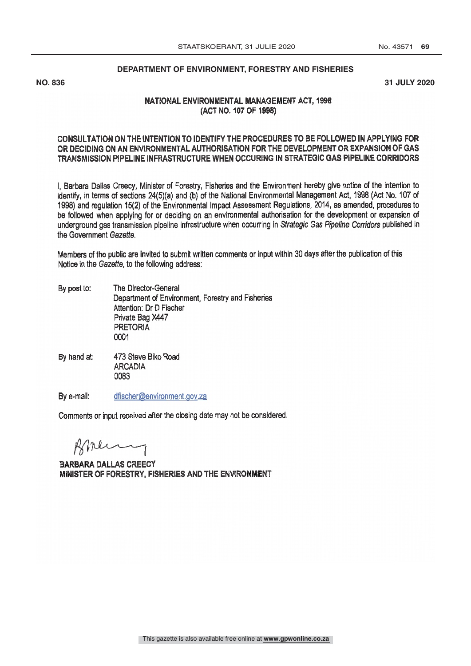#### **DEPARTMENT OF ENVIRONMENT, FORESTRY AND FISHERIES**

**NO. 836 31 JULY 2020**

### NATIONAL ENVIRONMENTAL MANAGEMENT ACT, 1998 (ACT NO. 107 OF 1998)

### CONSULTATION ON THE INTENTION TO IDENTIFY THE PROCEDURES TO BE FOLLOWED IN APPLYING FOR OR DECIDING ON AN ENVIRONMENTAL AUTHORISATION FOR THE DEVELOPMENT OR EXPANSION OF GAS TRANSMISSION PIPELINE INFRASTRUCTURE WHEN OCCURING IN STRATEGIC GAS PIPELINE CORRIDORS

1, Barbara Dallas Creecy, Minister of Forestry, Fisheries and the Environment hereby give notice of the intention to identify, in terms of sections 24(5)(a) and (b) of the National Environmental Management Act, 1998 (Act No. 107 of 1998) and regulation 15(2) of the Environmental Impact Assessment Regulations, 2014, as amended, procedures to be followed when applying for or deciding on an environmental authorisation for the development or expansion of underground gas transmission pipeline infrastructure when occurring in Strategic Gas Pipeline Corridors published in the Government Gazette.

Members of the public are invited to submit written comments or input within 30 days after the publication of this Notice in the Gazette, to the following address:

- By post to: The Director -General Department of Environment, Forestry and Fisheries Attention: Dr D Fischer Private Bag X447 PRETORIA 0001
- 473 Steve Biko Road By hand at: **ARCADIA** 0083

By e-mail: dfischer@environment.gov.za

Comments or input received after the closing date may not be considered.

Brenny

**BARBARA DALLAS CREECY** MINISTER OF FORESTRY. FISHERIES AND THE ENVIRONMENT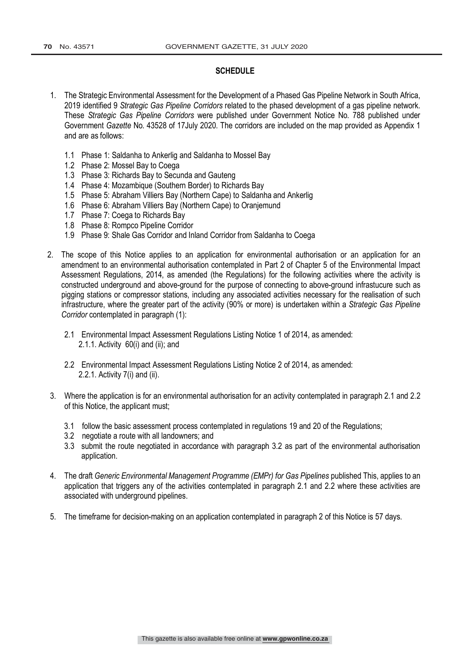### **SCHEDULE**

- 1. The Strategic Environmental Assessment for the Development of a Phased Gas Pipeline Network in South Africa, 2019 identified 9 *Strategic Gas Pipeline Corridors* related to the phased development of a gas pipeline network. These *Strategic Gas Pipeline Corridors* were published under Government Notice No. 788 published under Government *Gazette* No. 43528 of 17July 2020. The corridors are included on the map provided as Appendix 1 and are as follows:
	- 1.1 Phase 1: Saldanha to Ankerlig and Saldanha to Mossel Bay
	- 1.2 Phase 2: Mossel Bay to Coega
	- 1.3 Phase 3: Richards Bay to Secunda and Gauteng
	- 1.4 Phase 4: Mozambique (Southern Border) to Richards Bay
	- 1.5 Phase 5: Abraham Villiers Bay (Northern Cape) to Saldanha and Ankerlig
	- 1.6 Phase 6: Abraham Villiers Bay (Northern Cape) to Oranjemund
	- 1.7 Phase 7: Coega to Richards Bay
	- 1.8 Phase 8: Rompco Pipeline Corridor
	- 1.9 Phase 9: Shale Gas Corridor and Inland Corridor from Saldanha to Coega
- 2. The scope of this Notice applies to an application for environmental authorisation or an application for an amendment to an environmental authorisation contemplated in Part 2 of Chapter 5 of the Environmental Impact Assessment Regulations, 2014, as amended (the Regulations) for the following activities where the activity is constructed underground and above-ground for the purpose of connecting to above-ground infrastucure such as pigging stations or compressor stations, including any associated activities necessary for the realisation of such infrastructure, where the greater part of the activity (90% or more) is undertaken within a *Strategic Gas Pipeline Corridor* contemplated in paragraph (1):
	- 2.1 Environmental Impact Assessment Regulations Listing Notice 1 of 2014, as amended: 2.1.1. Activity 60(i) and (ii); and
	- 2.2 Environmental Impact Assessment Regulations Listing Notice 2 of 2014, as amended: 2.2.1. Activity 7(i) and (ii).
- 3. Where the application is for an environmental authorisation for an activity contemplated in paragraph 2.1 and 2.2 of this Notice, the applicant must;
	- 3.1 follow the basic assessment process contemplated in regulations 19 and 20 of the Regulations;
	- 3.2 negotiate a route with all landowners; and
	- 3.3 submit the route negotiated in accordance with paragraph 3.2 as part of the environmental authorisation application.
- 4. The draft *Generic Environmental Management Programme (EMPr) for Gas Pipelines* published This, applies to an application that triggers any of the activities contemplated in paragraph 2.1 and 2.2 where these activities are associated with underground pipelines.
- 5. The timeframe for decision-making on an application contemplated in paragraph 2 of this Notice is 57 days.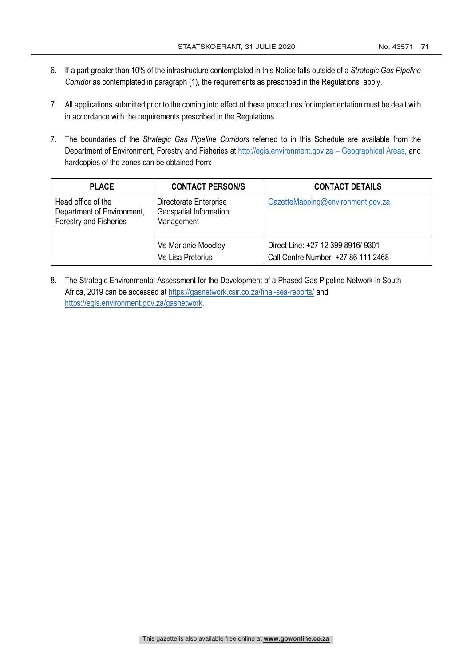- 6. If a part greater than 10% of the infrastructure contemplated in this Notice falls outside of a *Strategic Gas Pipeline Corridor* as contemplated in paragraph (1), the requirements as prescribed in the Regulations, apply.
- 7. All applications submitted prior to the coming into effect of these procedures for implementation must be dealt with in accordance with the requirements prescribed in the Regulations.
- 7. The boundaries of the *Strategic Gas Pipeline Corridors* referred to in this Schedule are available from the Department of Environment, Forestry and Fisheries at http://egis.environment.gov.za - Geographical Areas, and hardcopies of the zones can be obtained from:

| <b>PLACE</b>                                                               | <b>CONTACT PERSON/S</b>                                        | <b>CONTACT DETAILS</b>                                                    |
|----------------------------------------------------------------------------|----------------------------------------------------------------|---------------------------------------------------------------------------|
| Head office of the<br>Department of Environment,<br>Forestry and Fisheries | Directorate Enterprise<br>Geospatial Information<br>Management | GazetteMapping@environment.gov.za                                         |
|                                                                            | Ms Marlanie Moodley<br>Ms Lisa Pretorius                       | Direct Line: +27 12 399 8916/ 9301<br>Call Centre Number: +27 86 111 2468 |

8. The Strategic Environmental Assessment for the Development of a Phased Gas Pipeline Network in South Africa, 2019 can be accessed at https://gasnetwork.csir.co.za/final-sea-reports/ and https://egis.environment.gov.za/gasnetwork.